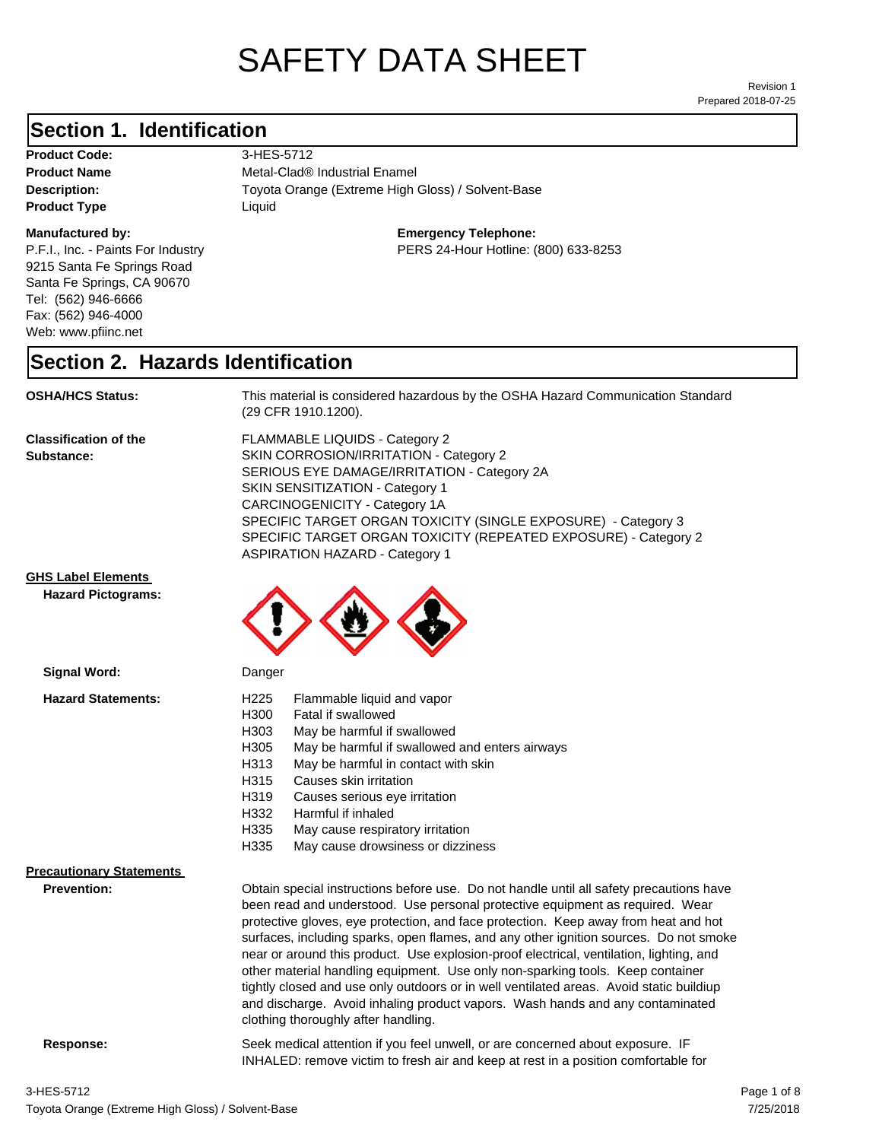# SAFETY DATA SHEET

Prepared 2018-07-25 Revision 1

# **Section 1. Identification**

**Product Code:** 3-HES-5712 **Product Type Liquid Liquid** 

#### **Manufactured by:**

P.F.I., Inc. - Paints For Industry 9215 Santa Fe Springs Road Santa Fe Springs, CA 90670 Tel: (562) 946-6666 Fax: (562) 946-4000 Web: www.pfiinc.net

**Description:** Toyota Orange (Extreme High Gloss) / Solvent-Base **Product Name** Metal-Clad<sup>®</sup> Industrial Enamel

**Emergency Telephone:**

PERS 24-Hour Hotline: (800) 633-8253

# **Section 2. Hazards Identification**

**OSHA/HCS Status:** This material is considered hazardous by the OSHA Hazard Communication Standard (29 CFR 1910.1200).

**Classification of the Substance:**

FLAMMABLE LIQUIDS - Category 2 SKIN CORROSION/IRRITATION - Category 2 SERIOUS EYE DAMAGE/IRRITATION - Category 2A SKIN SENSITIZATION - Category 1 CARCINOGENICITY - Category 1A SPECIFIC TARGET ORGAN TOXICITY (SINGLE EXPOSURE) - Category 3 SPECIFIC TARGET ORGAN TOXICITY (REPEATED EXPOSURE) - Category 2 ASPIRATION HAZARD - Category 1

### **GHS Label Elements**

**Signal Word:**

**Hazard Pictograms:**



| <b>Hazard Statements:</b>                             | H <sub>225</sub><br>Flammable liquid and vapor<br>H300<br>Fatal if swallowed<br>H303<br>May be harmful if swallowed<br>H305<br>May be harmful if swallowed and enters airways<br>H313<br>May be harmful in contact with skin<br>H315<br>Causes skin irritation<br>H319<br>Causes serious eye irritation<br>H332<br>Harmful if inhaled<br>H335<br>May cause respiratory irritation<br>H335<br>May cause drowsiness or dizziness                                                                                                                                                                                                                                                                                                                           |
|-------------------------------------------------------|----------------------------------------------------------------------------------------------------------------------------------------------------------------------------------------------------------------------------------------------------------------------------------------------------------------------------------------------------------------------------------------------------------------------------------------------------------------------------------------------------------------------------------------------------------------------------------------------------------------------------------------------------------------------------------------------------------------------------------------------------------|
| <b>Precautionary Statements</b><br><b>Prevention:</b> | Obtain special instructions before use. Do not handle until all safety precautions have<br>been read and understood. Use personal protective equipment as required. Wear<br>protective gloves, eye protection, and face protection. Keep away from heat and hot<br>surfaces, including sparks, open flames, and any other ignition sources. Do not smoke<br>near or around this product. Use explosion-proof electrical, ventilation, lighting, and<br>other material handling equipment. Use only non-sparking tools. Keep container<br>tightly closed and use only outdoors or in well ventilated areas. Avoid static buildiup<br>and discharge. Avoid inhaling product vapors. Wash hands and any contaminated<br>clothing thoroughly after handling. |

**Response:** Seek medical attention if you feel unwell, or are concerned about exposure. IF INHALED: remove victim to fresh air and keep at rest in a position comfortable for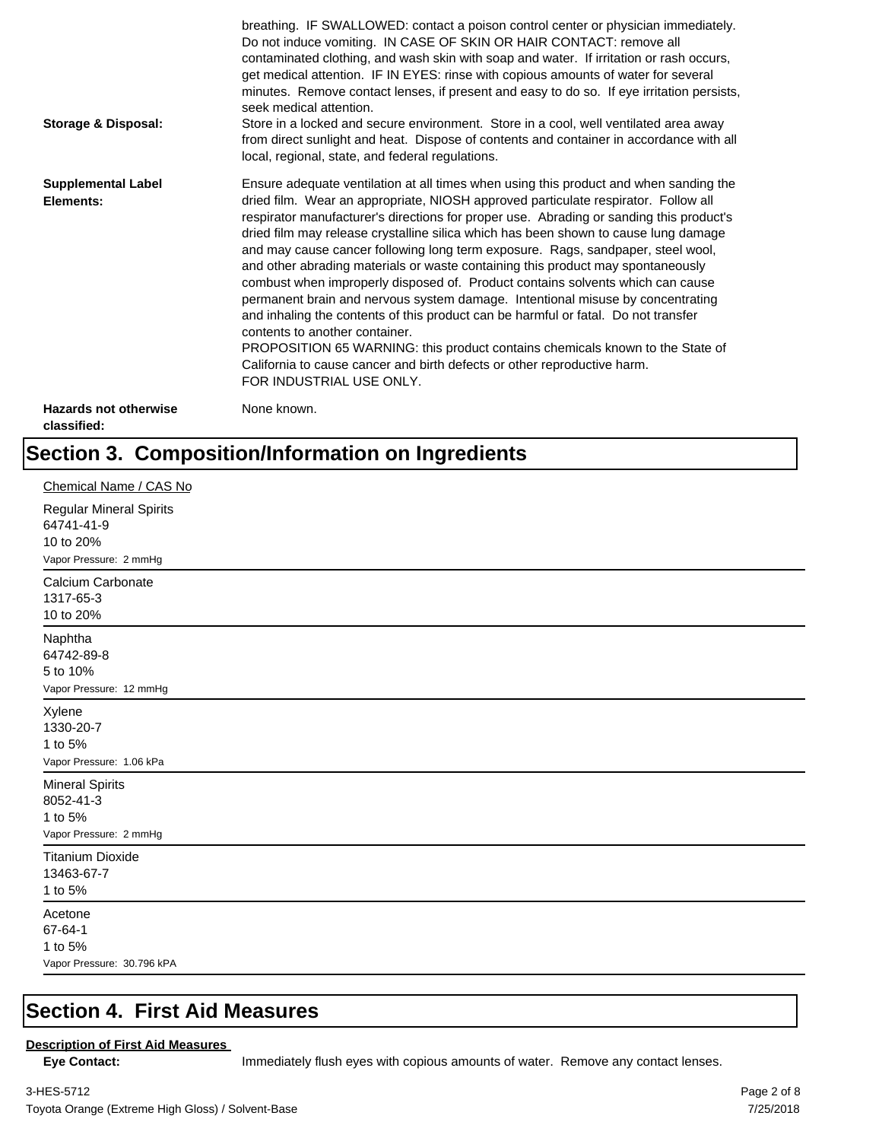| <b>Storage &amp; Disposal:</b>              | breathing. IF SWALLOWED: contact a poison control center or physician immediately.<br>Do not induce vomiting. IN CASE OF SKIN OR HAIR CONTACT: remove all<br>contaminated clothing, and wash skin with soap and water. If irritation or rash occurs,<br>get medical attention. IF IN EYES: rinse with copious amounts of water for several<br>minutes. Remove contact lenses, if present and easy to do so. If eye irritation persists,<br>seek medical attention.<br>Store in a locked and secure environment. Store in a cool, well ventilated area away<br>from direct sunlight and heat. Dispose of contents and container in accordance with all<br>local, regional, state, and federal regulations.                                                                                                                                                                                                                                                                                                                |
|---------------------------------------------|--------------------------------------------------------------------------------------------------------------------------------------------------------------------------------------------------------------------------------------------------------------------------------------------------------------------------------------------------------------------------------------------------------------------------------------------------------------------------------------------------------------------------------------------------------------------------------------------------------------------------------------------------------------------------------------------------------------------------------------------------------------------------------------------------------------------------------------------------------------------------------------------------------------------------------------------------------------------------------------------------------------------------|
| <b>Supplemental Label</b><br>Elements:      | Ensure adequate ventilation at all times when using this product and when sanding the<br>dried film. Wear an appropriate, NIOSH approved particulate respirator. Follow all<br>respirator manufacturer's directions for proper use. Abrading or sanding this product's<br>dried film may release crystalline silica which has been shown to cause lung damage<br>and may cause cancer following long term exposure. Rags, sandpaper, steel wool,<br>and other abrading materials or waste containing this product may spontaneously<br>combust when improperly disposed of. Product contains solvents which can cause<br>permanent brain and nervous system damage. Intentional misuse by concentrating<br>and inhaling the contents of this product can be harmful or fatal. Do not transfer<br>contents to another container.<br>PROPOSITION 65 WARNING: this product contains chemicals known to the State of<br>California to cause cancer and birth defects or other reproductive harm.<br>FOR INDUSTRIAL USE ONLY. |
| <b>Hazards not otherwise</b><br>classified: | None known.                                                                                                                                                                                                                                                                                                                                                                                                                                                                                                                                                                                                                                                                                                                                                                                                                                                                                                                                                                                                              |

# **Section 3. Composition/Information on Ingredients**

| Chemical Name / CAS No                                                              |
|-------------------------------------------------------------------------------------|
| <b>Regular Mineral Spirits</b><br>64741-41-9<br>10 to 20%<br>Vapor Pressure: 2 mmHg |
| Calcium Carbonate<br>1317-65-3<br>10 to 20%                                         |
| Naphtha<br>64742-89-8<br>5 to 10%<br>Vapor Pressure: 12 mmHg                        |
| Xylene<br>1330-20-7<br>1 to 5%<br>Vapor Pressure: 1.06 kPa                          |
| <b>Mineral Spirits</b><br>8052-41-3<br>1 to 5%<br>Vapor Pressure: 2 mmHg            |
| <b>Titanium Dioxide</b><br>13463-67-7<br>1 to 5%                                    |
| Acetone<br>67-64-1<br>1 to 5%<br>Vapor Pressure: 30.796 kPA                         |

# **Section 4. First Aid Measures**

### **Description of First Aid Measures**

Eye Contact: **IMMED** Immediately flush eyes with copious amounts of water. Remove any contact lenses.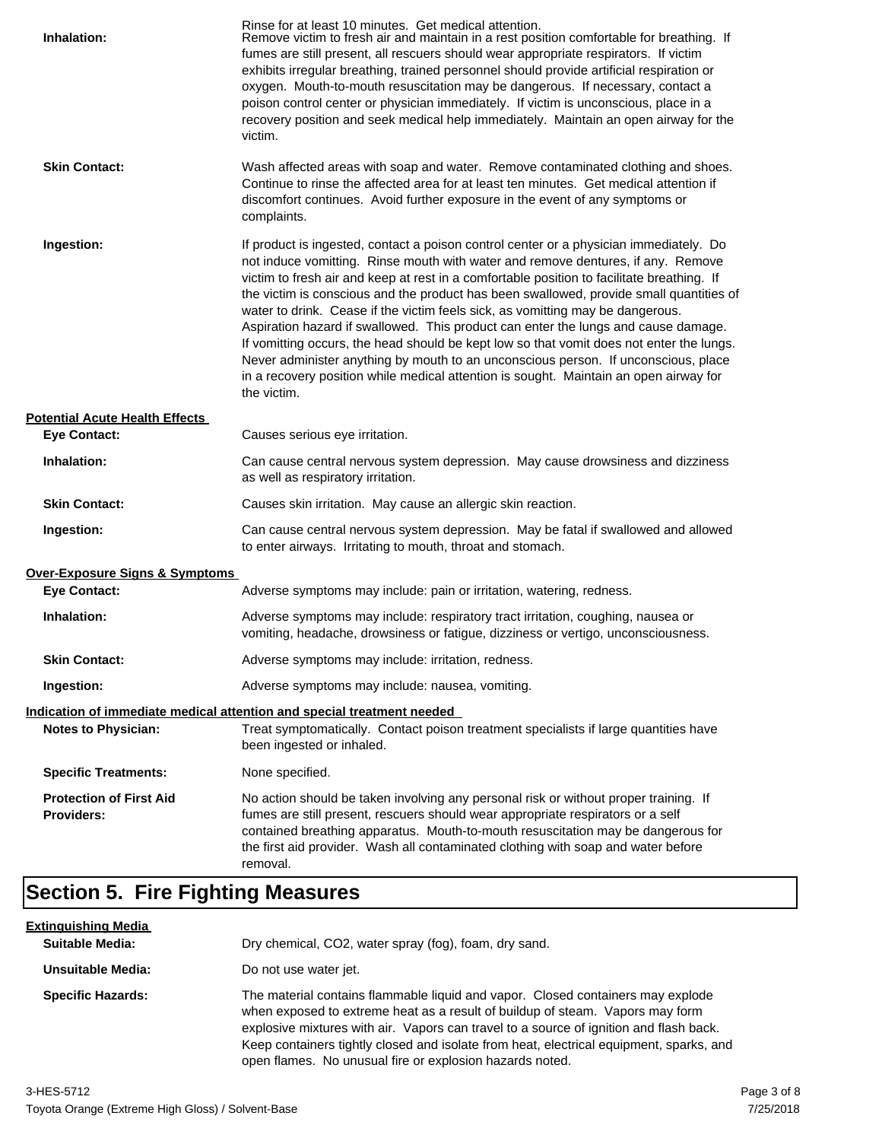| Inhalation:                                         | Rinse for at least 10 minutes. Get medical attention.<br>Remove victim to fresh air and maintain in a rest position comfortable for breathing. If<br>fumes are still present, all rescuers should wear appropriate respirators. If victim<br>exhibits irregular breathing, trained personnel should provide artificial respiration or<br>oxygen. Mouth-to-mouth resuscitation may be dangerous. If necessary, contact a<br>poison control center or physician immediately. If victim is unconscious, place in a<br>recovery position and seek medical help immediately. Maintain an open airway for the<br>victim.                                                                                                                                                                                                                    |
|-----------------------------------------------------|---------------------------------------------------------------------------------------------------------------------------------------------------------------------------------------------------------------------------------------------------------------------------------------------------------------------------------------------------------------------------------------------------------------------------------------------------------------------------------------------------------------------------------------------------------------------------------------------------------------------------------------------------------------------------------------------------------------------------------------------------------------------------------------------------------------------------------------|
| <b>Skin Contact:</b>                                | Wash affected areas with soap and water. Remove contaminated clothing and shoes.<br>Continue to rinse the affected area for at least ten minutes. Get medical attention if<br>discomfort continues. Avoid further exposure in the event of any symptoms or<br>complaints.                                                                                                                                                                                                                                                                                                                                                                                                                                                                                                                                                             |
| Ingestion:                                          | If product is ingested, contact a poison control center or a physician immediately. Do<br>not induce vomitting. Rinse mouth with water and remove dentures, if any. Remove<br>victim to fresh air and keep at rest in a comfortable position to facilitate breathing. If<br>the victim is conscious and the product has been swallowed, provide small quantities of<br>water to drink. Cease if the victim feels sick, as vomitting may be dangerous.<br>Aspiration hazard if swallowed. This product can enter the lungs and cause damage.<br>If vomitting occurs, the head should be kept low so that vomit does not enter the lungs.<br>Never administer anything by mouth to an unconscious person. If unconscious, place<br>in a recovery position while medical attention is sought. Maintain an open airway for<br>the victim. |
| <b>Potential Acute Health Effects</b>               |                                                                                                                                                                                                                                                                                                                                                                                                                                                                                                                                                                                                                                                                                                                                                                                                                                       |
| <b>Eye Contact:</b>                                 | Causes serious eye irritation.                                                                                                                                                                                                                                                                                                                                                                                                                                                                                                                                                                                                                                                                                                                                                                                                        |
| Inhalation:                                         | Can cause central nervous system depression. May cause drowsiness and dizziness<br>as well as respiratory irritation.                                                                                                                                                                                                                                                                                                                                                                                                                                                                                                                                                                                                                                                                                                                 |
| <b>Skin Contact:</b>                                | Causes skin irritation. May cause an allergic skin reaction.                                                                                                                                                                                                                                                                                                                                                                                                                                                                                                                                                                                                                                                                                                                                                                          |
| Ingestion:                                          | Can cause central nervous system depression. May be fatal if swallowed and allowed<br>to enter airways. Irritating to mouth, throat and stomach.                                                                                                                                                                                                                                                                                                                                                                                                                                                                                                                                                                                                                                                                                      |
| Over-Exposure Signs & Symptoms                      |                                                                                                                                                                                                                                                                                                                                                                                                                                                                                                                                                                                                                                                                                                                                                                                                                                       |
| <b>Eye Contact:</b>                                 | Adverse symptoms may include: pain or irritation, watering, redness.                                                                                                                                                                                                                                                                                                                                                                                                                                                                                                                                                                                                                                                                                                                                                                  |
| Inhalation:                                         | Adverse symptoms may include: respiratory tract irritation, coughing, nausea or<br>vomiting, headache, drowsiness or fatigue, dizziness or vertigo, unconsciousness.                                                                                                                                                                                                                                                                                                                                                                                                                                                                                                                                                                                                                                                                  |
| <b>Skin Contact:</b>                                | Adverse symptoms may include: irritation, redness.                                                                                                                                                                                                                                                                                                                                                                                                                                                                                                                                                                                                                                                                                                                                                                                    |
| Ingestion:                                          | Adverse symptoms may include: nausea, vomiting.                                                                                                                                                                                                                                                                                                                                                                                                                                                                                                                                                                                                                                                                                                                                                                                       |
|                                                     | Indication of immediate medical attention and special treatment needed                                                                                                                                                                                                                                                                                                                                                                                                                                                                                                                                                                                                                                                                                                                                                                |
| <b>Notes to Physician:</b>                          | Treat symptomatically. Contact poison treatment specialists if large quantities have<br>been ingested or inhaled.                                                                                                                                                                                                                                                                                                                                                                                                                                                                                                                                                                                                                                                                                                                     |
| <b>Specific Treatments:</b>                         | None specified.                                                                                                                                                                                                                                                                                                                                                                                                                                                                                                                                                                                                                                                                                                                                                                                                                       |
| <b>Protection of First Aid</b><br><b>Providers:</b> | No action should be taken involving any personal risk or without proper training. If<br>fumes are still present, rescuers should wear appropriate respirators or a self<br>contained breathing apparatus. Mouth-to-mouth resuscitation may be dangerous for<br>the first aid provider. Wash all contaminated clothing with soap and water before<br>removal.                                                                                                                                                                                                                                                                                                                                                                                                                                                                          |

# **Section 5. Fire Fighting Measures**

| <u>Extinguishing Media</u> |                                                                                                                                                                                                                                                                                                                                                                                                                   |
|----------------------------|-------------------------------------------------------------------------------------------------------------------------------------------------------------------------------------------------------------------------------------------------------------------------------------------------------------------------------------------------------------------------------------------------------------------|
| <b>Suitable Media:</b>     | Dry chemical, CO2, water spray (fog), foam, dry sand.                                                                                                                                                                                                                                                                                                                                                             |
| Unsuitable Media:          | Do not use water jet.                                                                                                                                                                                                                                                                                                                                                                                             |
| <b>Specific Hazards:</b>   | The material contains flammable liquid and vapor. Closed containers may explode<br>when exposed to extreme heat as a result of buildup of steam. Vapors may form<br>explosive mixtures with air. Vapors can travel to a source of ignition and flash back.<br>Keep containers tightly closed and isolate from heat, electrical equipment, sparks, and<br>open flames. No unusual fire or explosion hazards noted. |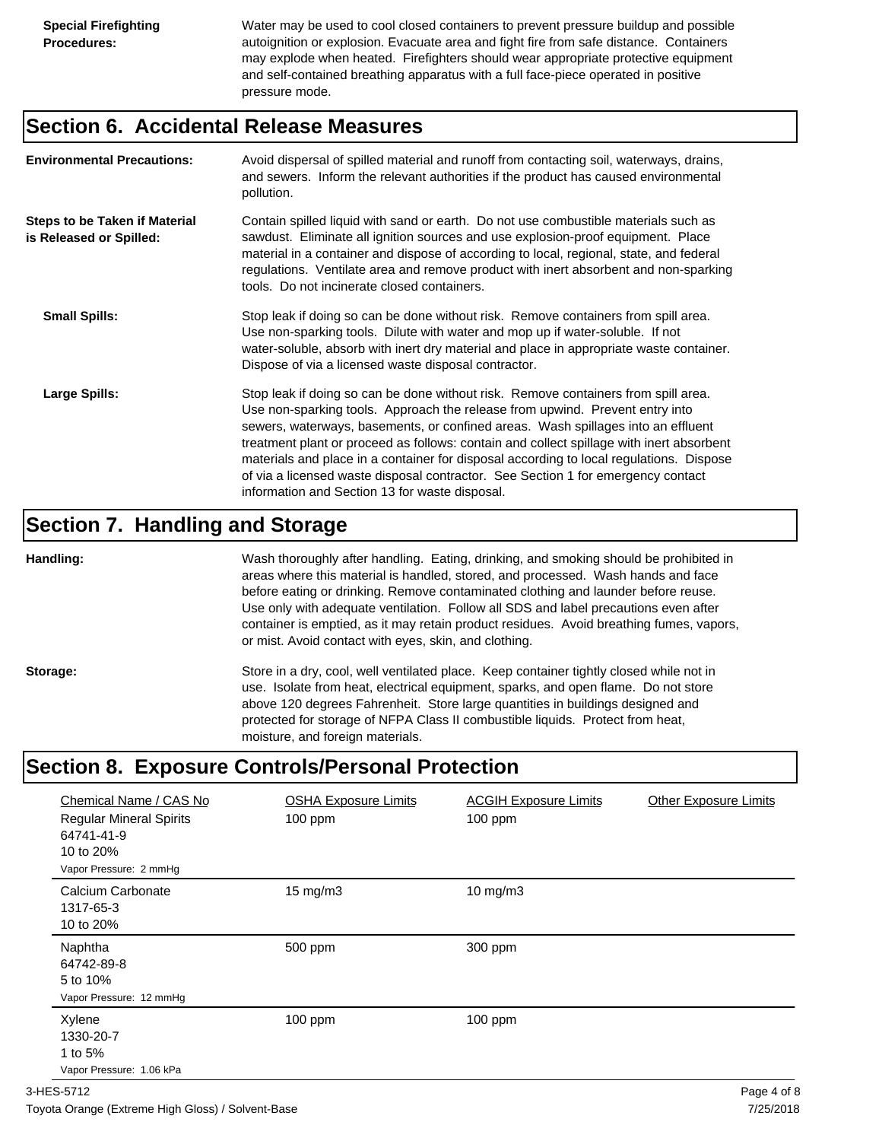Water may be used to cool closed containers to prevent pressure buildup and possible autoignition or explosion. Evacuate area and fight fire from safe distance. Containers may explode when heated. Firefighters should wear appropriate protective equipment and self-contained breathing apparatus with a full face-piece operated in positive pressure mode.

# **Section 6. Accidental Release Measures**

| <b>Environmental Precautions:</b>                               | Avoid dispersal of spilled material and runoff from contacting soil, waterways, drains,<br>and sewers. Inform the relevant authorities if the product has caused environmental<br>pollution.                                                                                                                                                                                                                                                                                                                                                                                        |
|-----------------------------------------------------------------|-------------------------------------------------------------------------------------------------------------------------------------------------------------------------------------------------------------------------------------------------------------------------------------------------------------------------------------------------------------------------------------------------------------------------------------------------------------------------------------------------------------------------------------------------------------------------------------|
| <b>Steps to be Taken if Material</b><br>is Released or Spilled: | Contain spilled liquid with sand or earth. Do not use combustible materials such as<br>sawdust. Eliminate all ignition sources and use explosion-proof equipment. Place<br>material in a container and dispose of according to local, regional, state, and federal<br>regulations. Ventilate area and remove product with inert absorbent and non-sparking<br>tools. Do not incinerate closed containers.                                                                                                                                                                           |
| <b>Small Spills:</b>                                            | Stop leak if doing so can be done without risk. Remove containers from spill area.<br>Use non-sparking tools. Dilute with water and mop up if water-soluble. If not<br>water-soluble, absorb with inert dry material and place in appropriate waste container.<br>Dispose of via a licensed waste disposal contractor.                                                                                                                                                                                                                                                              |
| Large Spills:                                                   | Stop leak if doing so can be done without risk. Remove containers from spill area.<br>Use non-sparking tools. Approach the release from upwind. Prevent entry into<br>sewers, waterways, basements, or confined areas. Wash spillages into an effluent<br>treatment plant or proceed as follows: contain and collect spillage with inert absorbent<br>materials and place in a container for disposal according to local regulations. Dispose<br>of via a licensed waste disposal contractor. See Section 1 for emergency contact<br>information and Section 13 for waste disposal. |

# **Section 7. Handling and Storage**

**Handling:** Wash thoroughly after handling. Eating, drinking, and smoking should be prohibited in areas where this material is handled, stored, and processed. Wash hands and face before eating or drinking. Remove contaminated clothing and launder before reuse. Use only with adequate ventilation. Follow all SDS and label precautions even after container is emptied, as it may retain product residues. Avoid breathing fumes, vapors, or mist. Avoid contact with eyes, skin, and clothing.

Storage: Store in a dry, cool, well ventilated place. Keep container tightly closed while not in use. Isolate from heat, electrical equipment, sparks, and open flame. Do not store above 120 degrees Fahrenheit. Store large quantities in buildings designed and protected for storage of NFPA Class II combustible liquids. Protect from heat, moisture, and foreign materials.

# **Section 8. Exposure Controls/Personal Protection**

| Chemical Name / CAS No<br><b>Regular Mineral Spirits</b><br>64741-41-9<br>10 to 20%<br>Vapor Pressure: 2 mmHg | <b>OSHA Exposure Limits</b><br>$100$ ppm | <b>ACGIH Exposure Limits</b><br>$100$ ppm | <b>Other Exposure Limits</b> |
|---------------------------------------------------------------------------------------------------------------|------------------------------------------|-------------------------------------------|------------------------------|
| Calcium Carbonate<br>1317-65-3<br>10 to 20%                                                                   | $15 \text{ mg/m}$                        | $10$ mg/m $3$                             |                              |
| Naphtha<br>64742-89-8<br>5 to 10%<br>Vapor Pressure: 12 mmHg                                                  | 500 ppm                                  | 300 ppm                                   |                              |
| Xylene<br>1330-20-7<br>1 to 5%<br>Vapor Pressure: 1.06 kPa                                                    | $100$ ppm                                | $100$ ppm                                 |                              |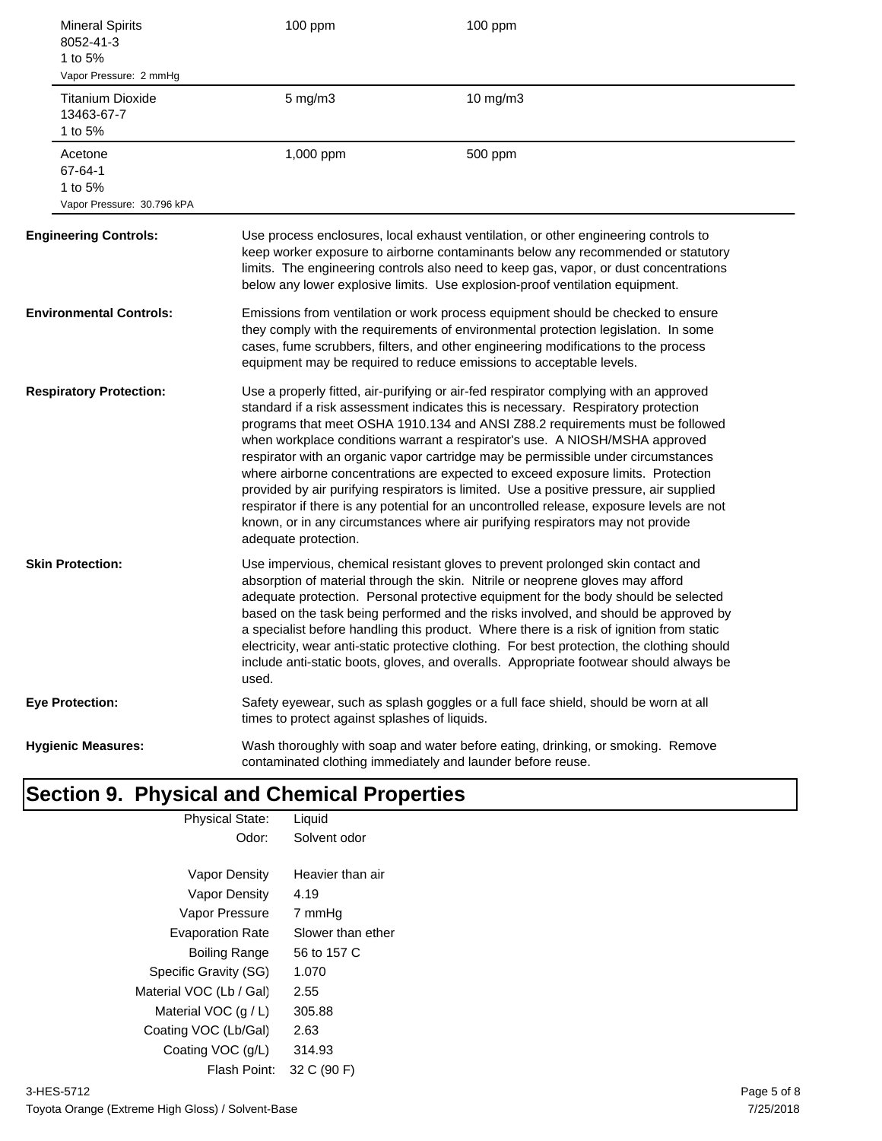| <b>Mineral Spirits</b><br>8052-41-3<br>1 to 5%<br>Vapor Pressure: 2 mmHg | 100 ppm                                       | 100 ppm                                                                                                                                                                                                                                                                                                                                                                                                                                                                                                                                                                                                                                                                                                                                                                                       |
|--------------------------------------------------------------------------|-----------------------------------------------|-----------------------------------------------------------------------------------------------------------------------------------------------------------------------------------------------------------------------------------------------------------------------------------------------------------------------------------------------------------------------------------------------------------------------------------------------------------------------------------------------------------------------------------------------------------------------------------------------------------------------------------------------------------------------------------------------------------------------------------------------------------------------------------------------|
| <b>Titanium Dioxide</b><br>13463-67-7<br>1 to 5%                         | $5$ mg/m $3$                                  | 10 mg/m3                                                                                                                                                                                                                                                                                                                                                                                                                                                                                                                                                                                                                                                                                                                                                                                      |
| Acetone<br>67-64-1<br>1 to 5%<br>Vapor Pressure: 30.796 kPA              | 1,000 ppm                                     | 500 ppm                                                                                                                                                                                                                                                                                                                                                                                                                                                                                                                                                                                                                                                                                                                                                                                       |
| <b>Engineering Controls:</b>                                             |                                               | Use process enclosures, local exhaust ventilation, or other engineering controls to<br>keep worker exposure to airborne contaminants below any recommended or statutory<br>limits. The engineering controls also need to keep gas, vapor, or dust concentrations<br>below any lower explosive limits. Use explosion-proof ventilation equipment.                                                                                                                                                                                                                                                                                                                                                                                                                                              |
| <b>Environmental Controls:</b>                                           |                                               | Emissions from ventilation or work process equipment should be checked to ensure<br>they comply with the requirements of environmental protection legislation. In some<br>cases, fume scrubbers, filters, and other engineering modifications to the process<br>equipment may be required to reduce emissions to acceptable levels.                                                                                                                                                                                                                                                                                                                                                                                                                                                           |
| <b>Respiratory Protection:</b>                                           | adequate protection.                          | Use a properly fitted, air-purifying or air-fed respirator complying with an approved<br>standard if a risk assessment indicates this is necessary. Respiratory protection<br>programs that meet OSHA 1910.134 and ANSI Z88.2 requirements must be followed<br>when workplace conditions warrant a respirator's use. A NIOSH/MSHA approved<br>respirator with an organic vapor cartridge may be permissible under circumstances<br>where airborne concentrations are expected to exceed exposure limits. Protection<br>provided by air purifying respirators is limited. Use a positive pressure, air supplied<br>respirator if there is any potential for an uncontrolled release, exposure levels are not<br>known, or in any circumstances where air purifying respirators may not provide |
| <b>Skin Protection:</b>                                                  | used.                                         | Use impervious, chemical resistant gloves to prevent prolonged skin contact and<br>absorption of material through the skin. Nitrile or neoprene gloves may afford<br>adequate protection. Personal protective equipment for the body should be selected<br>based on the task being performed and the risks involved, and should be approved by<br>a specialist before handling this product. Where there is a risk of ignition from static<br>electricity, wear anti-static protective clothing. For best protection, the clothing should<br>include anti-static boots, gloves, and overalls. Appropriate footwear should always be                                                                                                                                                           |
| <b>Eye Protection:</b>                                                   | times to protect against splashes of liquids. | Safety eyewear, such as splash goggles or a full face shield, should be worn at all                                                                                                                                                                                                                                                                                                                                                                                                                                                                                                                                                                                                                                                                                                           |
| <b>Hygienic Measures:</b>                                                |                                               | Wash thoroughly with soap and water before eating, drinking, or smoking. Remove<br>contaminated clothing immediately and launder before reuse.                                                                                                                                                                                                                                                                                                                                                                                                                                                                                                                                                                                                                                                |

## **Section 9. Physical and Chemical Properties** Physical State: Liquid

| Odor:                   | Solvent odor      |
|-------------------------|-------------------|
| Vapor Density           | Heavier than air  |
| Vapor Density           | 4.19              |
| Vapor Pressure          | 7 mmHq            |
| <b>Evaporation Rate</b> | Slower than ether |
| <b>Boiling Range</b>    | 56 to 157 C       |
| Specific Gravity (SG)   | 1.070             |
| Material VOC (Lb / Gal) | 2.55              |
| Material VOC $(q/L)$    | 305.88            |
| Coating VOC (Lb/Gal)    | 2.63              |
| Coating VOC (g/L)       | 314.93            |
| Flash Point:            | 32 C (90 F)       |
|                         |                   |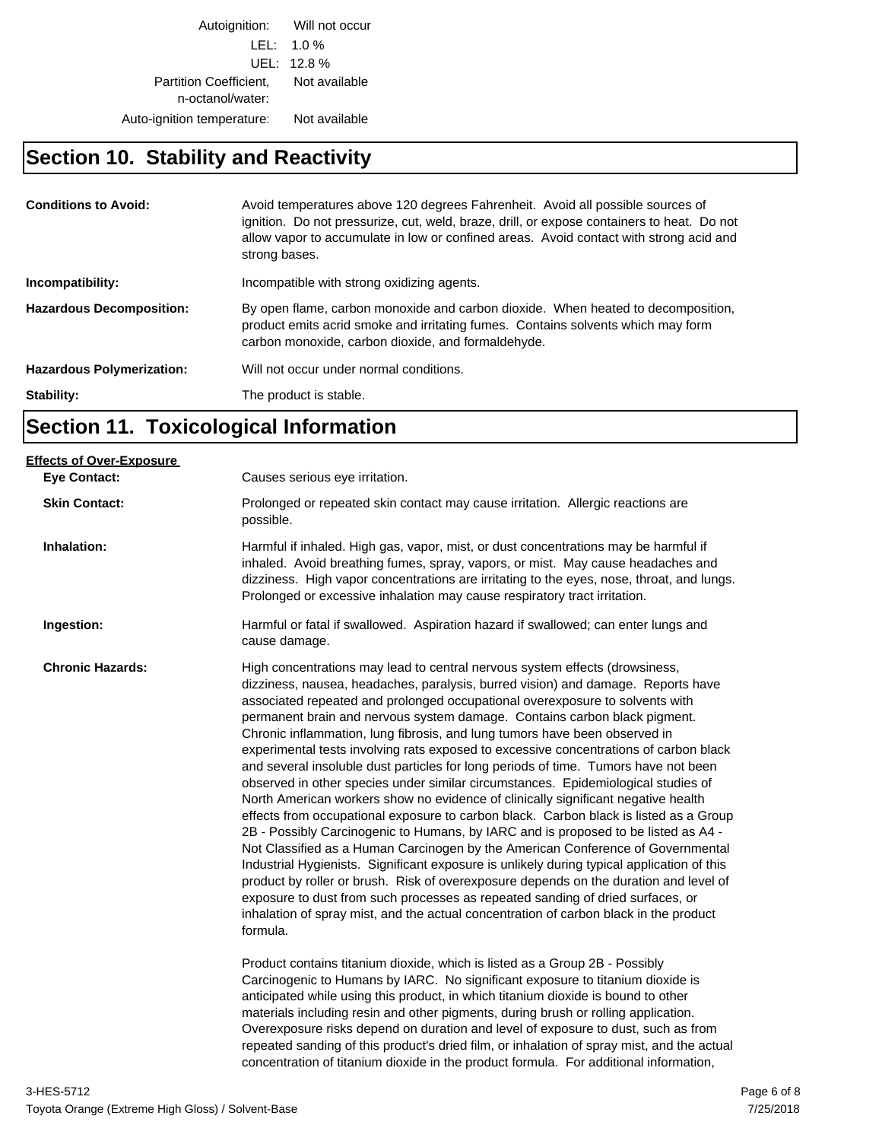Autoignition: Will not occur LEL: 1.0 % UEL: 12.8 % Partition Coefficient, Not available n-octanol/water: Auto-ignition temperature: Not available

# **Section 10. Stability and Reactivity**

| <b>Conditions to Avoid:</b>      | Avoid temperatures above 120 degrees Fahrenheit. Avoid all possible sources of<br>ignition. Do not pressurize, cut, weld, braze, drill, or expose containers to heat. Do not<br>allow vapor to accumulate in low or confined areas. Avoid contact with strong acid and<br>strong bases. |
|----------------------------------|-----------------------------------------------------------------------------------------------------------------------------------------------------------------------------------------------------------------------------------------------------------------------------------------|
| Incompatibility:                 | Incompatible with strong oxidizing agents.                                                                                                                                                                                                                                              |
| <b>Hazardous Decomposition:</b>  | By open flame, carbon monoxide and carbon dioxide. When heated to decomposition,<br>product emits acrid smoke and irritating fumes. Contains solvents which may form<br>carbon monoxide, carbon dioxide, and formaldehyde.                                                              |
| <b>Hazardous Polymerization:</b> | Will not occur under normal conditions.                                                                                                                                                                                                                                                 |
| Stability:                       | The product is stable.                                                                                                                                                                                                                                                                  |

# **Section 11. Toxicological Information**

| Causes serious eye irritation.                                                                                                                                                                                                                                                                                                                                                                                                                                                                                                                                                                                                                                                                                                                                                                                                                                                                                                                                                                                                                                                                                                                                                                                                                                                                                                                                                                                                                                                                      |
|-----------------------------------------------------------------------------------------------------------------------------------------------------------------------------------------------------------------------------------------------------------------------------------------------------------------------------------------------------------------------------------------------------------------------------------------------------------------------------------------------------------------------------------------------------------------------------------------------------------------------------------------------------------------------------------------------------------------------------------------------------------------------------------------------------------------------------------------------------------------------------------------------------------------------------------------------------------------------------------------------------------------------------------------------------------------------------------------------------------------------------------------------------------------------------------------------------------------------------------------------------------------------------------------------------------------------------------------------------------------------------------------------------------------------------------------------------------------------------------------------------|
| Prolonged or repeated skin contact may cause irritation. Allergic reactions are<br>possible.                                                                                                                                                                                                                                                                                                                                                                                                                                                                                                                                                                                                                                                                                                                                                                                                                                                                                                                                                                                                                                                                                                                                                                                                                                                                                                                                                                                                        |
| Harmful if inhaled. High gas, vapor, mist, or dust concentrations may be harmful if<br>inhaled. Avoid breathing fumes, spray, vapors, or mist. May cause headaches and<br>dizziness. High vapor concentrations are irritating to the eyes, nose, throat, and lungs.<br>Prolonged or excessive inhalation may cause respiratory tract irritation.                                                                                                                                                                                                                                                                                                                                                                                                                                                                                                                                                                                                                                                                                                                                                                                                                                                                                                                                                                                                                                                                                                                                                    |
| Harmful or fatal if swallowed. Aspiration hazard if swallowed; can enter lungs and<br>cause damage.                                                                                                                                                                                                                                                                                                                                                                                                                                                                                                                                                                                                                                                                                                                                                                                                                                                                                                                                                                                                                                                                                                                                                                                                                                                                                                                                                                                                 |
| High concentrations may lead to central nervous system effects (drowsiness,<br>dizziness, nausea, headaches, paralysis, burred vision) and damage. Reports have<br>associated repeated and prolonged occupational overexposure to solvents with<br>permanent brain and nervous system damage. Contains carbon black pigment.<br>Chronic inflammation, lung fibrosis, and lung tumors have been observed in<br>experimental tests involving rats exposed to excessive concentrations of carbon black<br>and several insoluble dust particles for long periods of time. Tumors have not been<br>observed in other species under similar circumstances. Epidemiological studies of<br>North American workers show no evidence of clinically significant negative health<br>effects from occupational exposure to carbon black. Carbon black is listed as a Group<br>2B - Possibly Carcinogenic to Humans, by IARC and is proposed to be listed as A4 -<br>Not Classified as a Human Carcinogen by the American Conference of Governmental<br>Industrial Hygienists. Significant exposure is unlikely during typical application of this<br>product by roller or brush. Risk of overexposure depends on the duration and level of<br>exposure to dust from such processes as repeated sanding of dried surfaces, or<br>inhalation of spray mist, and the actual concentration of carbon black in the product<br>formula.<br>Product contains titanium dioxide, which is listed as a Group 2B - Possibly |
| Carcinogenic to Humans by IARC. No significant exposure to titanium dioxide is<br>anticipated while using this product, in which titanium dioxide is bound to other<br>materials including resin and other pigments, during brush or rolling application.<br>Overexposure risks depend on duration and level of exposure to dust, such as from<br>repeated sanding of this product's dried film, or inhalation of spray mist, and the actual<br>concentration of titanium dioxide in the product formula. For additional information,                                                                                                                                                                                                                                                                                                                                                                                                                                                                                                                                                                                                                                                                                                                                                                                                                                                                                                                                                               |
|                                                                                                                                                                                                                                                                                                                                                                                                                                                                                                                                                                                                                                                                                                                                                                                                                                                                                                                                                                                                                                                                                                                                                                                                                                                                                                                                                                                                                                                                                                     |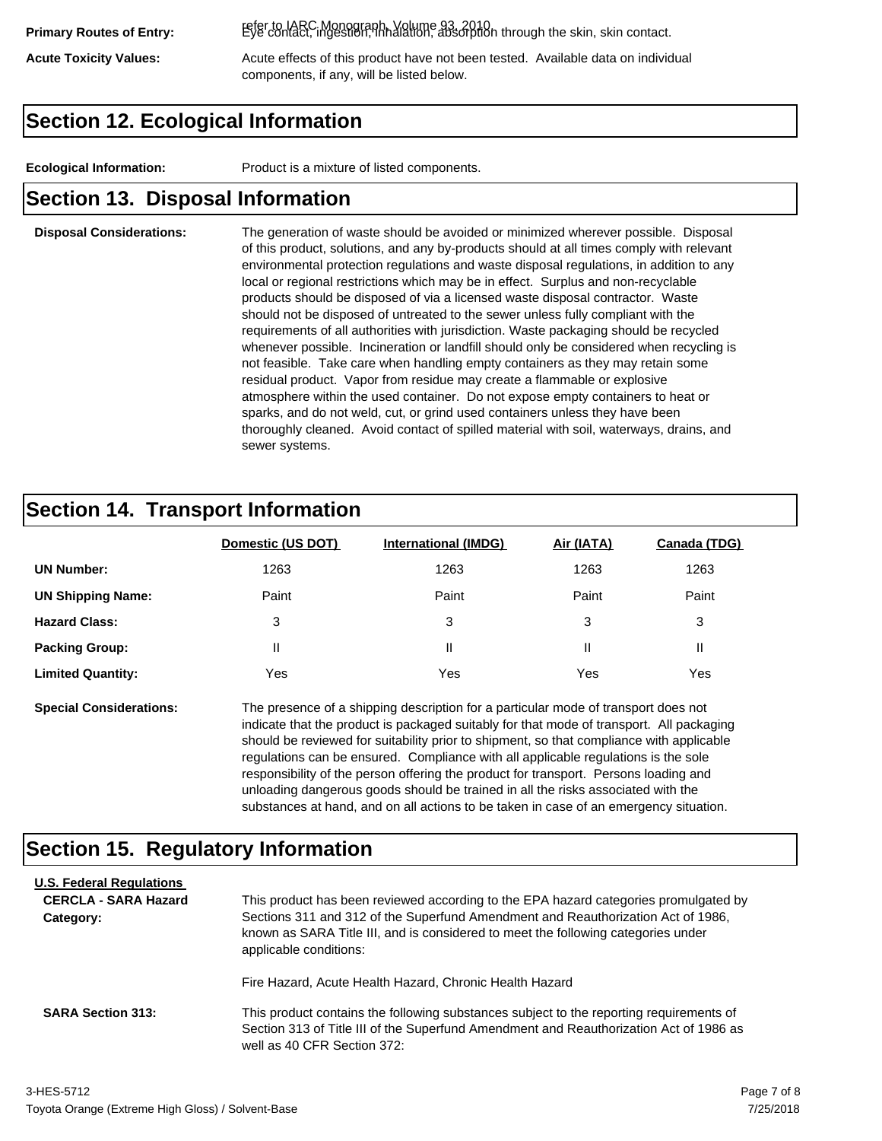refer to IARC Monograph, Volume 93, 2010. **Primary Routes of Entry:** Eye contact, ingestion, inhalation, absorption through the skin, skin contact.

Acute Toxicity Values: **Acute effects of this product have not been tested.** Available data on individual components, if any, will be listed below.

# **Section 12. Ecological Information**

**Ecological Information:** Product is a mixture of listed components.

# **Section 13. Disposal Information**

#### **Disposal Considerations:** The generation of waste should be avoided or minimized wherever possible. Disposal of this product, solutions, and any by-products should at all times comply with relevant environmental protection regulations and waste disposal regulations, in addition to any local or regional restrictions which may be in effect. Surplus and non-recyclable products should be disposed of via a licensed waste disposal contractor. Waste should not be disposed of untreated to the sewer unless fully compliant with the requirements of all authorities with jurisdiction. Waste packaging should be recycled whenever possible. Incineration or landfill should only be considered when recycling is not feasible. Take care when handling empty containers as they may retain some residual product. Vapor from residue may create a flammable or explosive atmosphere within the used container. Do not expose empty containers to heat or sparks, and do not weld, cut, or grind used containers unless they have been thoroughly cleaned. Avoid contact of spilled material with soil, waterways, drains, and sewer systems.

# **Section 14. Transport Information**

|                          | Domestic (US DOT) | <b>International (IMDG)</b> | Air (IATA) | <b>Canada (TDG)</b> |
|--------------------------|-------------------|-----------------------------|------------|---------------------|
| <b>UN Number:</b>        | 1263              | 1263                        | 1263       | 1263                |
| <b>UN Shipping Name:</b> | Paint             | Paint                       | Paint      | Paint               |
| <b>Hazard Class:</b>     | 3                 | 3                           | 3          | 3                   |
| <b>Packing Group:</b>    | Ш                 | Ш                           |            |                     |
| <b>Limited Quantity:</b> | Yes               | Yes                         | Yes        | Yes                 |

**Special Considerations:** The presence of a shipping description for a particular mode of transport does not indicate that the product is packaged suitably for that mode of transport. All packaging should be reviewed for suitability prior to shipment, so that compliance with applicable regulations can be ensured. Compliance with all applicable regulations is the sole responsibility of the person offering the product for transport. Persons loading and unloading dangerous goods should be trained in all the risks associated with the substances at hand, and on all actions to be taken in case of an emergency situation.

# **Section 15. Regulatory Information**

| <b>U.S. Federal Regulations</b><br><b>CERCLA - SARA Hazard</b><br>Category: | This product has been reviewed according to the EPA hazard categories promulgated by<br>Sections 311 and 312 of the Superfund Amendment and Reauthorization Act of 1986,<br>known as SARA Title III, and is considered to meet the following categories under<br>applicable conditions: |
|-----------------------------------------------------------------------------|-----------------------------------------------------------------------------------------------------------------------------------------------------------------------------------------------------------------------------------------------------------------------------------------|
| <b>SARA Section 313:</b>                                                    | Fire Hazard, Acute Health Hazard, Chronic Health Hazard<br>This product contains the following substances subject to the reporting requirements of                                                                                                                                      |
|                                                                             | Section 313 of Title III of the Superfund Amendment and Reauthorization Act of 1986 as<br>well as 40 CFR Section 372:                                                                                                                                                                   |